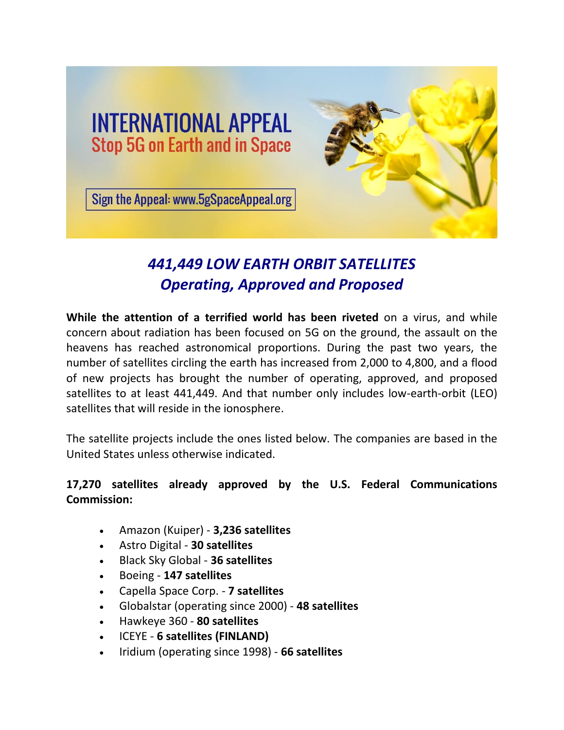

# *441,449 LOW EARTH ORBIT SATELLITES Operating, Approved and Proposed*

**While the attention of a terrified world has been riveted** on a virus, and while concern about radiation has been focused on 5G on the ground, the assault on the heavens has reached astronomical proportions. During the past two years, the number of satellites circling the earth has increased from 2,000 to 4,800, and a flood of new projects has brought the number of operating, approved, and proposed satellites to at least 441,449. And that number only includes low-earth-orbit (LEO) satellites that will reside in the ionosphere.

The satellite projects include the ones listed below. The companies are based in the United States unless otherwise indicated.

### **17,270 satellites already approved by the U.S. Federal Communications Commission:**

- Amazon (Kuiper) **3,236 satellites**
- Astro Digital **30 satellites**
- Black Sky Global **36 satellites**
- Boeing **147 satellites**
- Capella Space Corp. **7 satellites**
- Globalstar (operating since 2000) **48 satellites**
- Hawkeye 360 **80 satellites**
- ICEYE **6 satellites (FINLAND)**
- Iridium (operating since 1998) **66 satellites**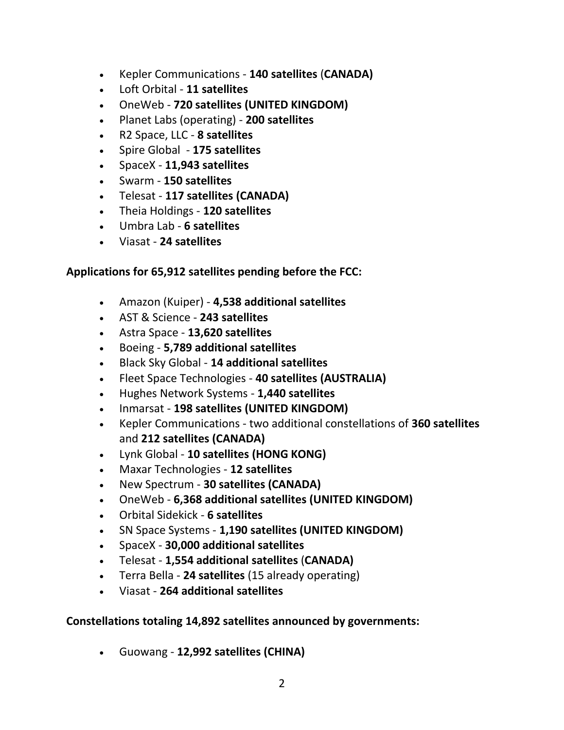- Kepler Communications **140 satellites** (**CANADA)**
- Loft Orbital **11 satellites**
- OneWeb **720 satellites (UNITED KINGDOM)**
- Planet Labs (operating) **200 satellites**
- R2 Space, LLC **8 satellites**
- Spire Global **175 satellites**
- SpaceX **11,943 satellites**
- Swarm **150 satellites**
- Telesat **117 satellites (CANADA)**
- Theia Holdings **120 satellites**
- Umbra Lab **6 satellites**
- Viasat **24 satellites**

#### **Applications for 65,912 satellites pending before the FCC:**

- Amazon (Kuiper) **4,538 additional satellites**
- AST & Science **243 satellites**
- Astra Space **13,620 satellites**
- Boeing **5,789 additional satellites**
- Black Sky Global **14 additional satellites**
- Fleet Space Technologies **40 satellites (AUSTRALIA)**
- Hughes Network Systems **1,440 satellites**
- Inmarsat **198 satellites (UNITED KINGDOM)**
- Kepler Communications two additional constellations of **360 satellites** and **212 satellites (CANADA)**
- Lynk Global **10 satellites (HONG KONG)**
- Maxar Technologies **12 satellites**
- New Spectrum **30 satellites (CANADA)**
- OneWeb **6,368 additional satellites (UNITED KINGDOM)**
- Orbital Sidekick **6 satellites**
- SN Space Systems **1,190 satellites (UNITED KINGDOM)**
- SpaceX **30,000 additional satellites**
- Telesat **1,554 additional satellites** (**CANADA)**
- Terra Bella **24 satellites** (15 already operating)
- Viasat **264 additional satellites**

#### **Constellations totaling 14,892 satellites announced by governments:**

• Guowang - **12,992 satellites (CHINA)**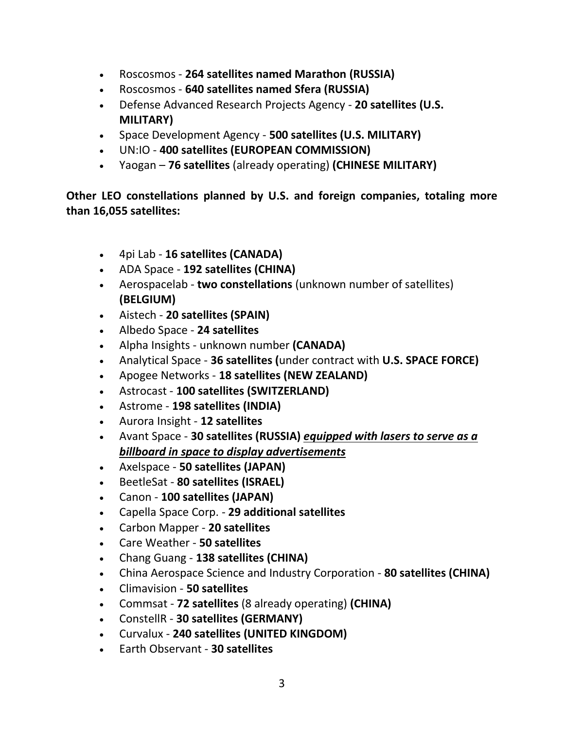- Roscosmos **264 satellites named Marathon (RUSSIA)**
- Roscosmos **640 satellites named Sfera (RUSSIA)**
- Defense Advanced Research Projects Agency **20 satellites (U.S. MILITARY)**
- Space Development Agency **500 satellites (U.S. MILITARY)**
- UN:IO **400 satellites (EUROPEAN COMMISSION)**
- Yaogan **76 satellites** (already operating) **(CHINESE MILITARY)**

**Other LEO constellations planned by U.S. and foreign companies, totaling more than 16,055 satellites:**

- 4pi Lab **16 satellites (CANADA)**
- ADA Space **192 satellites (CHINA)**
- Aerospacelab **two constellations** (unknown number of satellites) **(BELGIUM)**
- Aistech **20 satellites (SPAIN)**
- Albedo Space **24 satellites**
- Alpha Insights unknown number **(CANADA)**
- Analytical Space **36 satellites (**under contract with **U.S. SPACE FORCE)**
- Apogee Networks **18 satellites (NEW ZEALAND)**
- Astrocast **100 satellites (SWITZERLAND)**
- Astrome **198 satellites (INDIA)**
- Aurora Insight **12 satellites**
- Avant Space **30 satellites (RUSSIA)** *equipped with lasers to serve as a billboard in space to display advertisements*
- Axelspace **50 satellites (JAPAN)**
- BeetleSat **80 satellites (ISRAEL)**
- Canon **100 satellites (JAPAN)**
- Capella Space Corp. **29 additional satellites**
- Carbon Mapper **20 satellites**
- Care Weather **50 satellites**
- Chang Guang **138 satellites (CHINA)**
- China Aerospace Science and Industry Corporation **80 satellites (CHINA)**
- Climavision **50 satellites**
- Commsat **72 satellites** (8 already operating) **(CHINA)**
- ConstellR **30 satellites (GERMANY)**
- Curvalux **240 satellites (UNITED KINGDOM)**
- Earth Observant **30 satellites**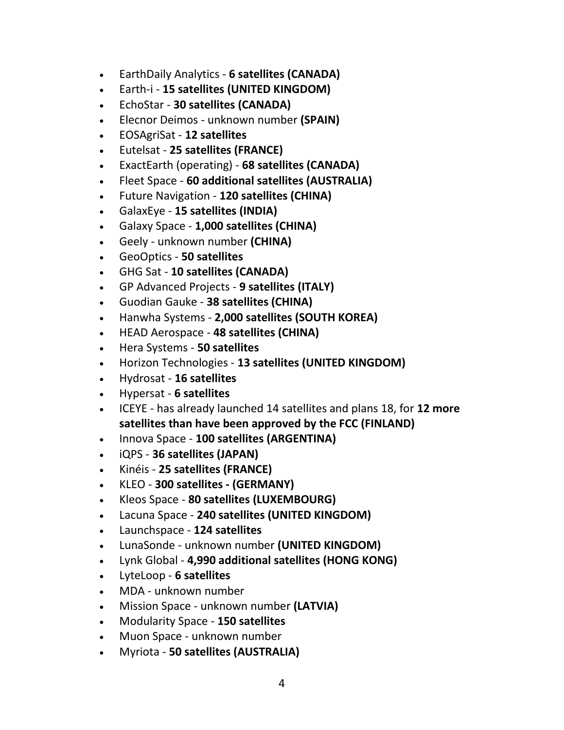- EarthDaily Analytics **6 satellites (CANADA)**
- Earth-i **15 satellites (UNITED KINGDOM)**
- EchoStar **30 satellites (CANADA)**
- Elecnor Deimos unknown number **(SPAIN)**
- EOSAgriSat **12 satellites**
- Eutelsat **25 satellites (FRANCE)**
- ExactEarth (operating) **68 satellites (CANADA)**
- Fleet Space **60 additional satellites (AUSTRALIA)**
- Future Navigation **120 satellites (CHINA)**
- GalaxEye **15 satellites (INDIA)**
- Galaxy Space **1,000 satellites (CHINA)**
- Geely unknown number **(CHINA)**
- GeoOptics **50 satellites**
- GHG Sat **10 satellites (CANADA)**
- GP Advanced Projects **9 satellites (ITALY)**
- Guodian Gauke **38 satellites (CHINA)**
- Hanwha Systems **2,000 satellites (SOUTH KOREA)**
- HEAD Aerospace **48 satellites (CHINA)**
- Hera Systems **50 satellites**
- Horizon Technologies **13 satellites (UNITED KINGDOM)**
- Hydrosat **16 satellites**
- Hypersat **6 satellites**
- ICEYE has already launched 14 satellites and plans 18, for **12 more satellites than have been approved by the FCC (FINLAND)**
- Innova Space **100 satellites (ARGENTINA)**
- iQPS **36 satellites (JAPAN)**
- Kinéis **25 satellites (FRANCE)**
- KLEO **300 satellites - (GERMANY)**
- Kleos Space **80 satellites (LUXEMBOURG)**
- Lacuna Space **240 satellites (UNITED KINGDOM)**
- Launchspace **124 satellites**
- LunaSonde unknown number **(UNITED KINGDOM)**
- Lynk Global **4,990 additional satellites (HONG KONG)**
- LyteLoop **6 satellites**
- MDA unknown number
- Mission Space unknown number **(LATVIA)**
- Modularity Space **150 satellites**
- Muon Space unknown number
- Myriota **50 satellites (AUSTRALIA)**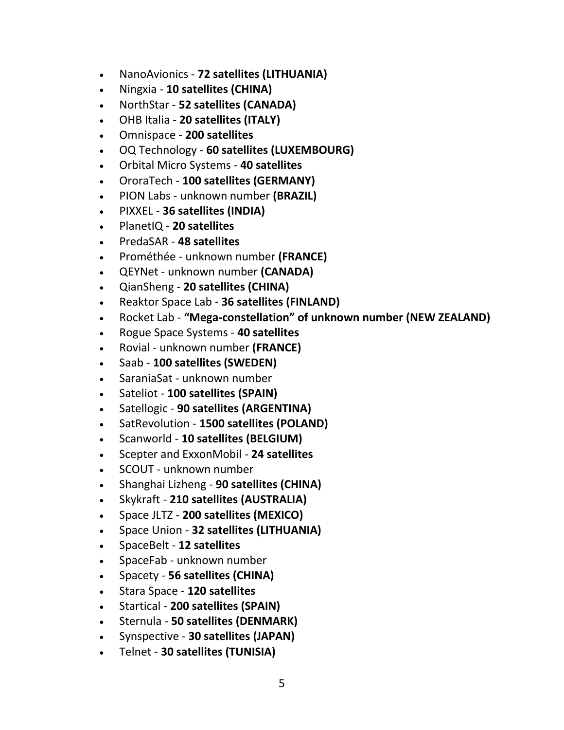- NanoAvionics **72 satellites (LITHUANIA)**
- Ningxia **10 satellites (CHINA)**
- NorthStar **52 satellites (CANADA)**
- OHB Italia **20 satellites (ITALY)**
- Omnispace **200 satellites**
- OQ Technology **60 satellites (LUXEMBOURG)**
- Orbital Micro Systems **40 satellites**
- OroraTech **100 satellites (GERMANY)**
- PION Labs unknown number **(BRAZIL)**
- PIXXEL **36 satellites (INDIA)**
- PlanetIQ **20 satellites**
- PredaSAR **48 satellites**
- Prométhée unknown number **(FRANCE)**
- QEYNet unknown number **(CANADA)**
- QianSheng **20 satellites (CHINA)**
- Reaktor Space Lab **36 satellites (FINLAND)**
- Rocket Lab **"Mega-constellation" of unknown number (NEW ZEALAND)**
- Rogue Space Systems **40 satellites**
- Rovial unknown number **(FRANCE)**
- Saab **100 satellites (SWEDEN)**
- SaraniaSat unknown number
- Sateliot **100 satellites (SPAIN)**
- Satellogic **90 satellites (ARGENTINA)**
- SatRevolution **1500 satellites (POLAND)**
- Scanworld **10 satellites (BELGIUM)**
- Scepter and ExxonMobil **24 satellites**
- SCOUT unknown number
- Shanghai Lizheng **90 satellites (CHINA)**
- Skykraft **210 satellites (AUSTRALIA)**
- Space JLTZ **200 satellites (MEXICO)**
- Space Union **32 satellites (LITHUANIA)**
- SpaceBelt **12 satellites**
- SpaceFab unknown number
- Spacety **56 satellites (CHINA)**
- Stara Space **120 satellites**
- Startical **200 satellites (SPAIN)**
- Sternula **50 satellites (DENMARK)**
- Synspective **30 satellites (JAPAN)**
- Telnet **30 satellites (TUNISIA)**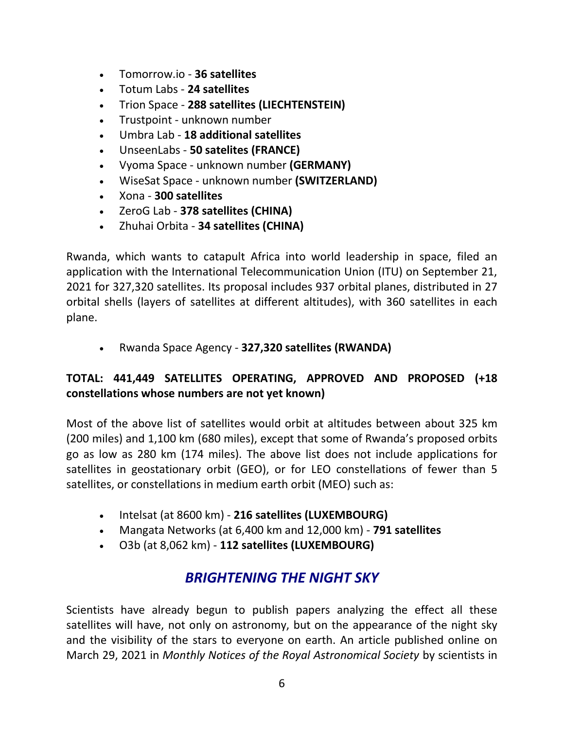- Tomorrow.io **36 satellites**
- Totum Labs **24 satellites**
- Trion Space **288 satellites (LIECHTENSTEIN)**
- Trustpoint unknown number
- Umbra Lab **18 additional satellites**
- UnseenLabs **50 satelites (FRANCE)**
- Vyoma Space unknown number **(GERMANY)**
- WiseSat Space unknown number **(SWITZERLAND)**
- Xona **300 satellites**
- ZeroG Lab **378 satellites (CHINA)**
- Zhuhai Orbita **34 satellites (CHINA)**

Rwanda, which wants to catapult Africa into world leadership in space, filed an application with the International Telecommunication Union (ITU) on September 21, 2021 for 327,320 satellites. Its proposal includes 937 orbital planes, distributed in 27 orbital shells (layers of satellites at different altitudes), with 360 satellites in each plane.

• Rwanda Space Agency - **327,320 satellites (RWANDA)**

### **TOTAL: 441,449 SATELLITES OPERATING, APPROVED AND PROPOSED (+18 constellations whose numbers are not yet known)**

Most of the above list of satellites would orbit at altitudes between about 325 km (200 miles) and 1,100 km (680 miles), except that some of Rwanda's proposed orbits go as low as 280 km (174 miles). The above list does not include applications for satellites in geostationary orbit (GEO), or for LEO constellations of fewer than 5 satellites, or constellations in medium earth orbit (MEO) such as:

- Intelsat (at 8600 km) **216 satellites (LUXEMBOURG)**
- Mangata Networks (at 6,400 km and 12,000 km) **791 satellites**
- O3b (at 8,062 km) **112 satellites (LUXEMBOURG)**

## *BRIGHTENING THE NIGHT SKY*

Scientists have already begun to publish papers analyzing the effect all these satellites will have, not only on astronomy, but on the appearance of the night sky and the visibility of the stars to everyone on earth. An article published online on March 29, 2021 in *Monthly Notices of the Royal Astronomical Society* by scientists in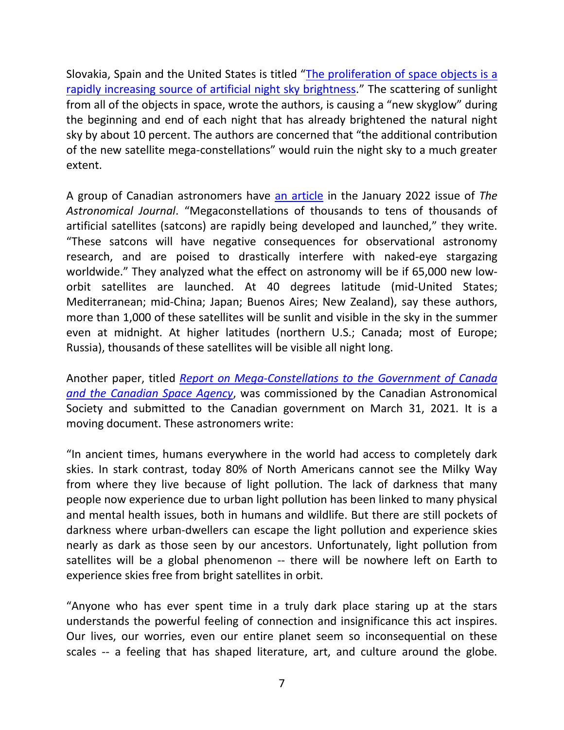Slovakia, Spain and the United States is titled "[The proliferation of space objects is a](https://academic.oup.com/mnrasl/article/504/1/L40/6188393)  [rapidly increasing source of artificial night sky brightness](https://academic.oup.com/mnrasl/article/504/1/L40/6188393)." The scattering of sunlight from all of the objects in space, wrote the authors, is causing a "new skyglow" during the beginning and end of each night that has already brightened the natural night sky by about 10 percent. The authors are concerned that "the additional contribution of the new satellite mega-constellations" would ruin the night sky to a much greater extent.

A group of Canadian astronomers have [an article](https://iopscience.iop.org/article/10.3847/1538-3881/ac341b/pdf) in the January 2022 issue of *The Astronomical Journal*. "Megaconstellations of thousands to tens of thousands of artificial satellites (satcons) are rapidly being developed and launched," they write. "These satcons will have negative consequences for observational astronomy research, and are poised to drastically interfere with naked-eye stargazing worldwide." They analyzed what the effect on astronomy will be if 65,000 new loworbit satellites are launched. At 40 degrees latitude (mid-United States; Mediterranean; mid-China; Japan; Buenos Aires; New Zealand), say these authors, more than 1,000 of these satellites will be sunlit and visible in the sky in the summer even at midnight. At higher latitudes (northern U.S.; Canada; most of Europe; Russia), thousands of these satellites will be visible all night long.

Another paper, titled *[Report on Mega-Constellations to the Government of Canada](https://arxiv.org/pdf/2104.05733)  [and the Canadian Space Agency](https://arxiv.org/pdf/2104.05733)*, was commissioned by the Canadian Astronomical Society and submitted to the Canadian government on March 31, 2021. It is a moving document. These astronomers write:

"In ancient times, humans everywhere in the world had access to completely dark skies. In stark contrast, today 80% of North Americans cannot see the Milky Way from where they live because of light pollution. The lack of darkness that many people now experience due to urban light pollution has been linked to many physical and mental health issues, both in humans and wildlife. But there are still pockets of darkness where urban-dwellers can escape the light pollution and experience skies nearly as dark as those seen by our ancestors. Unfortunately, light pollution from satellites will be a global phenomenon -- there will be nowhere left on Earth to experience skies free from bright satellites in orbit.

"Anyone who has ever spent time in a truly dark place staring up at the stars understands the powerful feeling of connection and insignificance this act inspires. Our lives, our worries, even our entire planet seem so inconsequential on these scales -- a feeling that has shaped literature, art, and culture around the globe.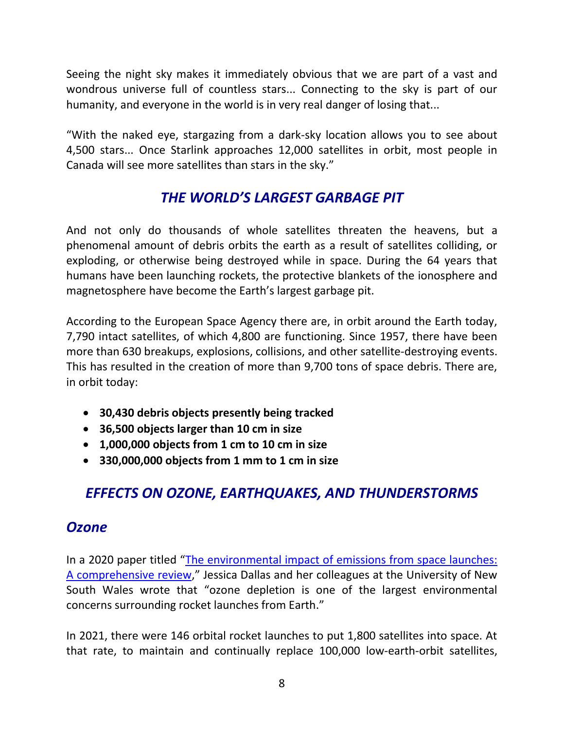Seeing the night sky makes it immediately obvious that we are part of a vast and wondrous universe full of countless stars... Connecting to the sky is part of our humanity, and everyone in the world is in very real danger of losing that...

"With the naked eye, stargazing from a dark-sky location allows you to see about 4,500 stars... Once Starlink approaches 12,000 satellites in orbit, most people in Canada will see more satellites than stars in the sky."

# *THE WORLD'S LARGEST GARBAGE PIT*

And not only do thousands of whole satellites threaten the heavens, but a phenomenal amount of debris orbits the earth as a result of satellites colliding, or exploding, or otherwise being destroyed while in space. During the 64 years that humans have been launching rockets, the protective blankets of the ionosphere and magnetosphere have become the Earth's largest garbage pit.

According to the European Space Agency there are, in orbit around the Earth today, 7,790 intact satellites, of which 4,800 are functioning. Since 1957, there have been more than 630 breakups, explosions, collisions, and other satellite-destroying events. This has resulted in the creation of more than 9,700 tons of space debris. There are, in orbit today:

- **30,430 debris objects presently being tracked**
- **36,500 objects larger than 10 cm in size**
- **1,000,000 objects from 1 cm to 10 cm in size**
- **330,000,000 objects from 1 mm to 1 cm in size**

# *EFFECTS ON OZONE, EARTHQUAKES, AND THUNDERSTORMS*

### *Ozone*

In a 2020 paper titled "[The environmental impact of emissions from space launches:](https://www.sciencedirect.com/science/article/abs/pii/S0959652620302560)  [A comprehensive review](https://www.sciencedirect.com/science/article/abs/pii/S0959652620302560)," Jessica Dallas and her colleagues at the University of New South Wales wrote that "ozone depletion is one of the largest environmental concerns surrounding rocket launches from Earth."

In 2021, there were 146 orbital rocket launches to put 1,800 satellites into space. At that rate, to maintain and continually replace 100,000 low-earth-orbit satellites,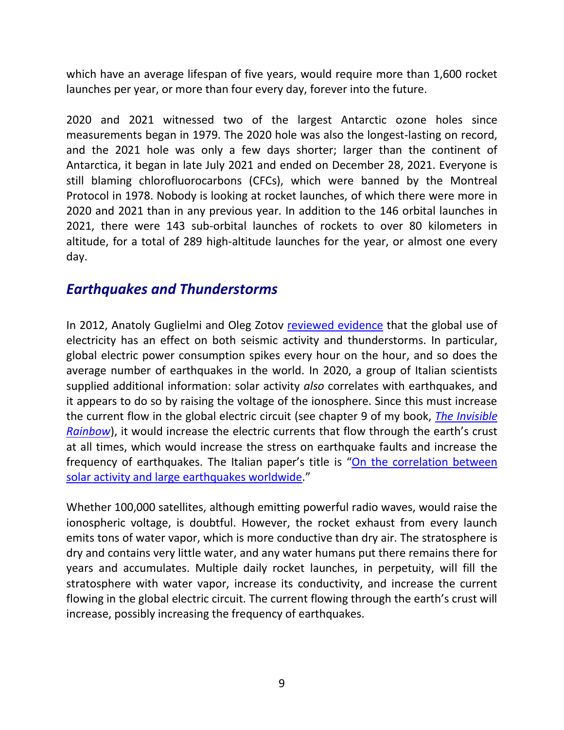which have an average lifespan of five years, would require more than 1,600 rocket launches per year, or more than four every day, forever into the future.

2020 and 2021 witnessed two of the largest Antarctic ozone holes since measurements began in 1979. The 2020 hole was also the longest-lasting on record, and the 2021 hole was only a few days shorter; larger than the continent of Antarctica, it began in late July 2021 and ended on December 28, 2021. Everyone is still blaming chlorofluorocarbons (CFCs), which were banned by the Montreal Protocol in 1978. Nobody is looking at rocket launches, of which there were more in 2020 and 2021 than in any previous year. In addition to the 146 orbital launches in 2021, there were 143 sub-orbital launches of rockets to over 80 kilometers in altitude, for a total of 289 high-altitude launches for the year, or almost one every day.

### *Earthquakes and Thunderstorms*

In 2012, Anatoly Guglielmi and Oleg Zotov [reviewed evidence](https://link.springer.com/article/10.1134%2FS1069351312050035) that the global use of electricity has an effect on both seismic activity and thunderstorms. In particular, global electric power consumption spikes every hour on the hour, and so does the average number of earthquakes in the world. In 2020, a group of Italian scientists supplied additional information: solar activity *also* correlates with earthquakes, and it appears to do so by raising the voltage of the ionosphere. Since this must increase the current flow in the global electric circuit (see chapter 9 of my book, *[The Invisible](https://www.chelseagreen.com/product/the-invisible-rainbow/)  [Rainbow](https://www.chelseagreen.com/product/the-invisible-rainbow/)*), it would increase the electric currents that flow through the earth's crust at all times, which would increase the stress on earthquake faults and increase the frequency of earthquakes. The Italian paper's title is "On the correlation between [solar activity and large earthquakes worldwide](https://www.nature.com/articles/s41598-020-67860-3.pdf)."

Whether 100,000 satellites, although emitting powerful radio waves, would raise the ionospheric voltage, is doubtful. However, the rocket exhaust from every launch emits tons of water vapor, which is more conductive than dry air. The stratosphere is dry and contains very little water, and any water humans put there remains there for years and accumulates. Multiple daily rocket launches, in perpetuity, will fill the stratosphere with water vapor, increase its conductivity, and increase the current flowing in the global electric circuit. The current flowing through the earth's crust will increase, possibly increasing the frequency of earthquakes.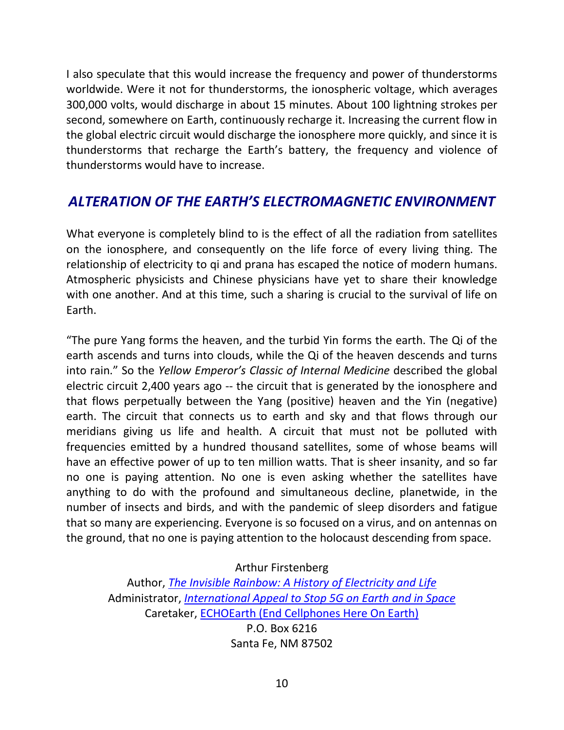I also speculate that this would increase the frequency and power of thunderstorms worldwide. Were it not for thunderstorms, the ionospheric voltage, which averages 300,000 volts, would discharge in about 15 minutes. About 100 lightning strokes per second, somewhere on Earth, continuously recharge it. Increasing the current flow in the global electric circuit would discharge the ionosphere more quickly, and since it is thunderstorms that recharge the Earth's battery, the frequency and violence of thunderstorms would have to increase.

### *ALTERATION OF THE EARTH'S ELECTROMAGNETIC ENVIRONMENT*

What everyone is completely blind to is the effect of all the radiation from satellites on the ionosphere, and consequently on the life force of every living thing. The relationship of electricity to qi and prana has escaped the notice of modern humans. Atmospheric physicists and Chinese physicians have yet to share their knowledge with one another. And at this time, such a sharing is crucial to the survival of life on Earth.

"The pure Yang forms the heaven, and the turbid Yin forms the earth. The Qi of the earth ascends and turns into clouds, while the Qi of the heaven descends and turns into rain." So the *Yellow Emperor's Classic of Internal Medicine* described the global electric circuit 2,400 years ago -- the circuit that is generated by the ionosphere and that flows perpetually between the Yang (positive) heaven and the Yin (negative) earth. The circuit that connects us to earth and sky and that flows through our meridians giving us life and health. A circuit that must not be polluted with frequencies emitted by a hundred thousand satellites, some of whose beams will have an effective power of up to ten million watts. That is sheer insanity, and so far no one is paying attention. No one is even asking whether the satellites have anything to do with the profound and simultaneous decline, planetwide, in the number of insects and birds, and with the pandemic of sleep disorders and fatigue that so many are experiencing. Everyone is so focused on a virus, and on antennas on the ground, that no one is paying attention to the holocaust descending from space.

Arthur Firstenberg

Author, *[The Invisible Rainbow: A History of Electricity and Life](https://www.chelseagreen.com/product/the-invisible-rainbow/)* Administrator, *[International Appeal to Stop 5G on Earth and in Space](https://www.5gspaceappeal.org/)* Caretaker, [ECHOEarth \(End Cellphones Here On Earth\)](https://www.echoearth.org/) P.O. Box 6216 Santa Fe, NM 87502